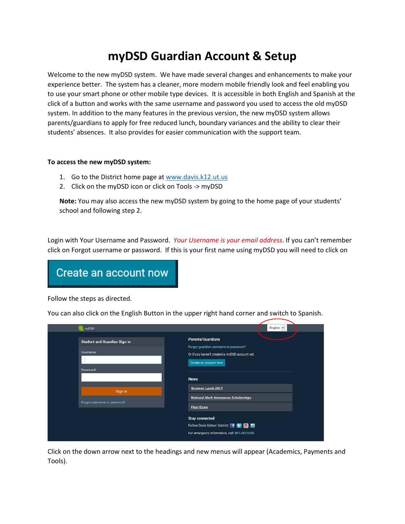## **myDSD Guardian Account & Setup**

Welcome to the new myDSD system. We have made several changes and enhancements to make your experience better. The system has a cleaner, more modern mobile friendly look and feel enabling you to use your smart phone or other mobile type devices. It is accessible in both English and Spanish at the click of a button and works with the same username and password you used to access the old myDSD system. In addition to the many features in the previous version, the new myDSD system allows parents/guardians to apply for free reduced lunch, boundary variances and the ability to clear their students' absences. It also provides for easier communication with the support team.

## **To access the new myDSD system:**

- 1. Go to the District home page at [www.davis.k12.ut.us](http://www.davis.k12.ut.us/)
- 2. Click on the myDSD icon or click on Tools -> myDSD

**Note:** You may also access the new myDSD system by going to the home page of your students' school and following step 2.

Login with Your Username and Password. *Your Username is your email address*. If you can't remember click on Forgot username or password. If this is your first name using myDSD you will need to click on

## Create an account now

Follow the steps as directed.

You can also click on the English Button in the upper right hand corner and switch to Spanish.

| myDSD                                                | English $\vee$                                                                                                                                                   |
|------------------------------------------------------|------------------------------------------------------------------------------------------------------------------------------------------------------------------|
| Student and Guardian Sign In<br>Username<br>Password | <b>Parents/Guardians</b><br>Forgot guardian username or password?<br>Or if you haven't created a myDSD account yet,<br>Create an account now<br><b>News</b>      |
| Sign in<br>Forgot username or password?              | Summer Lunch 2017<br><b>National Merit Announces Scholarships</b><br><b>Final Exam</b><br><b>Stay connected</b><br>For emergency information, call: 801-402-5500 |

Click on the down arrow next to the headings and new menus will appear (Academics, Payments and Tools).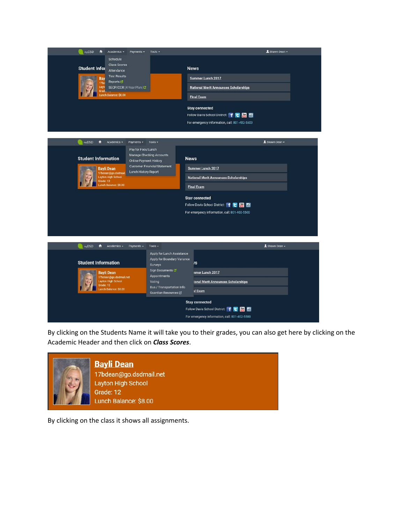| $my$ DSD<br>Academics -<br>Ħ<br>Payments -                                                                                                                                                                                     | Tools -                                                                                                                                                | £ Shawn Dean -                                                                                                                                                                                                              |  |
|--------------------------------------------------------------------------------------------------------------------------------------------------------------------------------------------------------------------------------|--------------------------------------------------------------------------------------------------------------------------------------------------------|-----------------------------------------------------------------------------------------------------------------------------------------------------------------------------------------------------------------------------|--|
| Schedule<br><b>Class Scores</b><br><b>Student Infor</b><br>Attendance<br><b>Test Results</b><br>Bay<br>Reports <sup>C</sup><br>17 <sub>bd</sub><br>Laytr<br>SEOP/CCR (4 Year Plan) C<br>unch Balance: \$8.00                   |                                                                                                                                                        | <b>News</b><br>Summer Lunch 2017<br><b>National Merit Announces Scholarships</b><br><b>Final Exam</b><br><b>Stay connected</b><br>For emergency information, call: 801-402-5500                                             |  |
| $my$ DSD<br>٠<br>Academics -<br>Payments -                                                                                                                                                                                     | Tools -                                                                                                                                                | & Shawn Dean -                                                                                                                                                                                                              |  |
| Pay for Fees/Lunch<br><b>Student Information</b><br><b>Online Payment History</b><br><b>Bayli Dean</b><br><b>Lunch History Report</b><br>17bdean@go.dsdmail<br><b>Layton High School</b><br>Grade: 12<br>Lunch Balance: \$8.00 | Manage Checking Accounts<br><b>Customer Financial Statement</b>                                                                                        | <b>News</b><br><b>Summer Lunch 2017</b><br><b>National Merit Announces Scholarships</b><br><b>Final Exam</b><br><b>Stay connected</b><br>Follow Davis School District: f E<br>For emergency information, call: 801-402-5500 |  |
| myDSD<br>A<br>Academics -<br>Payments -                                                                                                                                                                                        | Tools $\sim$                                                                                                                                           | Shawn Dean -                                                                                                                                                                                                                |  |
| <b>Student Information</b><br>Bayli Dean<br>17bdean@go.dsdmail.net<br>Layton High School<br>Grade: 12                                                                                                                          | Apply for Lunch Assistance<br>Apply for Boundary Variance<br><b>Surveys</b><br>Sign Documents C<br>Appointments<br>Voting<br>Bus / Transportation Info | /S<br>nmer Lunch 2017<br>ional Merit Announces Scholarships                                                                                                                                                                 |  |
| Lunch Balance: \$8.00                                                                                                                                                                                                          | Guardian Resources                                                                                                                                     | al Exam<br><b>Stay connected</b><br>Follow Davis School District: f t a                                                                                                                                                     |  |

By clicking on the Students Name it will take you to their grades, you can also get here by clicking on the Academic Header and then click on *Class Scores*.



By clicking on the class it shows all assignments.